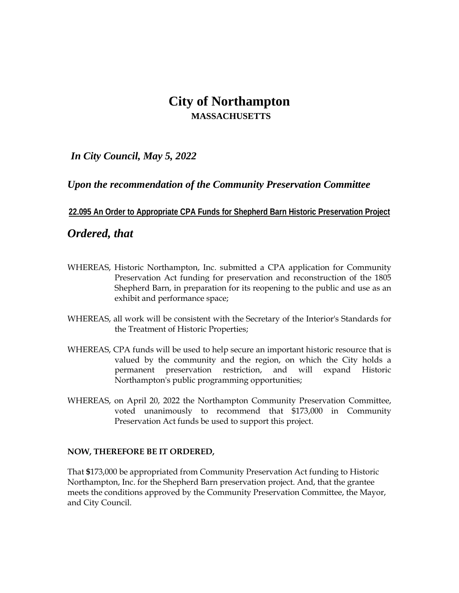# **City of Northampton MASSACHUSETTS**

*In City Council, May 5, 2022*

### *Upon the recommendation of the Community Preservation Committee*

### **22.095 An Order to Appropriate CPA Funds for Shepherd Barn Historic Preservation Project**

## *Ordered, that*

- WHEREAS, Historic Northampton, Inc. submitted a CPA application for Community Preservation Act funding for preservation and reconstruction of the 1805 Shepherd Barn, in preparation for its reopening to the public and use as an exhibit and performance space;
- WHEREAS, all work will be consistent with the Secretary of the Interior's Standards for the Treatment of Historic Properties;
- WHEREAS, CPA funds will be used to help secure an important historic resource that is valued by the community and the region, on which the City holds a permanent preservation restriction, and will expand Historic Northampton's public programming opportunities;
- WHEREAS, on April 20, 2022 the Northampton Community Preservation Committee, voted unanimously to recommend that \$173,000 in Community Preservation Act funds be used to support this project.

#### **NOW, THEREFORE BE IT ORDERED,**

That **\$**173,000 be appropriated from Community Preservation Act funding to Historic Northampton, Inc. for the Shepherd Barn preservation project. And, that the grantee meets the conditions approved by the Community Preservation Committee, the Mayor, and City Council.